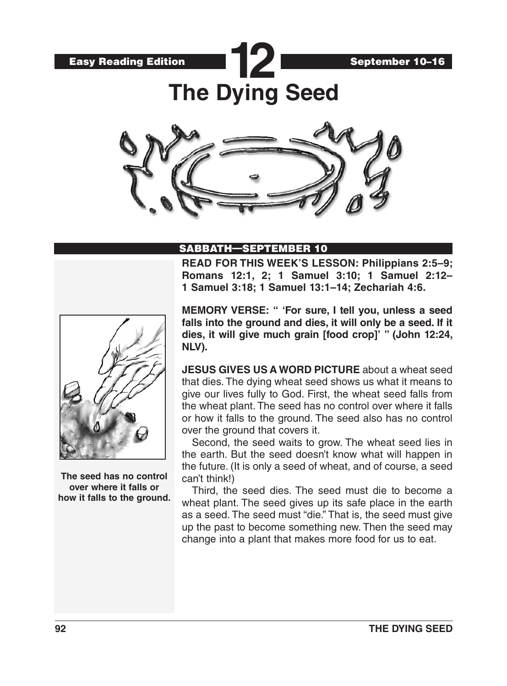Easy Reading Edition



**The Dying Seed**

**12**



### SABBATH—SEPTEMBER 10

**READ FOR THIS WEEK'S LESSON: Philippians 2:5–9; Romans 12:1, 2; 1 Samuel 3:10; 1 Samuel 2:12– 1 Samuel 3:18; 1 Samuel 13:1–14; Zechariah 4:6.**



**The seed has no control over where it falls or how it falls to the ground.** **MEMORY VERSE: " 'For sure, I tell you, unless a seed falls into the ground and dies, it will only be a seed. If it dies, it will give much grain [food crop]' " (John 12:24, NLV).**

**JESUS GIVES US A WORD PICTURE** about a wheat seed that dies. The dying wheat seed shows us what it means to give our lives fully to God. First, the wheat seed falls from the wheat plant. The seed has no control over where it falls or how it falls to the ground. The seed also has no control over the ground that covers it.

Second, the seed waits to grow. The wheat seed lies in the earth. But the seed doesn't know what will happen in the future. (It is only a seed of wheat, and of course, a seed can't think!)

Third, the seed dies. The seed must die to become a wheat plant. The seed gives up its safe place in the earth as a seed. The seed must "die." That is, the seed must give up the past to become something new. Then the seed may change into a plant that makes more food for us to eat.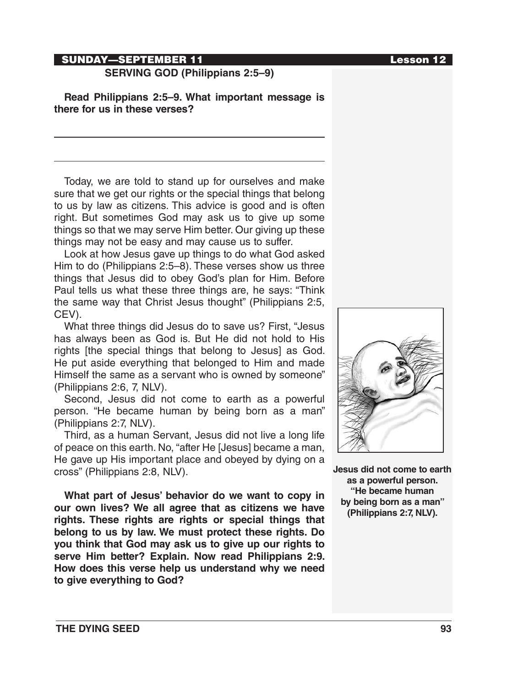# SUNDAY—SEPTEMBER 11 **Lesson 12**

# **SERVING GOD (Philippians 2:5–9)**

**Read Philippians 2:5–9. What important message is there for us in these verses?**

Today, we are told to stand up for ourselves and make sure that we get our rights or the special things that belong to us by law as citizens. This advice is good and is often right. But sometimes God may ask us to give up some things so that we may serve Him better. Our giving up these things may not be easy and may cause us to suffer.

Look at how Jesus gave up things to do what God asked Him to do (Philippians 2:5–8). These verses show us three things that Jesus did to obey God's plan for Him. Before Paul tells us what these three things are, he says: "Think the same way that Christ Jesus thought" (Philippians 2:5, CEV).

What three things did Jesus do to save us? First, "Jesus has always been as God is. But He did not hold to His rights [the special things that belong to Jesus] as God. He put aside everything that belonged to Him and made Himself the same as a servant who is owned by someone" (Philippians 2:6, 7, NLV).

Second, Jesus did not come to earth as a powerful person. "He became human by being born as a man" (Philippians 2:7, NLV).

Third, as a human Servant, Jesus did not live a long life of peace on this earth. No, "after He [Jesus] became a man, He gave up His important place and obeyed by dying on a cross" (Philippians 2:8, NLV).

**What part of Jesus' behavior do we want to copy in our own lives? We all agree that as citizens we have rights. These rights are rights or special things that belong to us by law. We must protect these rights. Do you think that God may ask us to give up our rights to serve Him better? Explain. Now read Philippians 2:9. How does this verse help us understand why we need to give everything to God?**



**Jesus did not come to earth as a powerful person. "He became human by being born as a man" (Philippians 2:7, NLV).**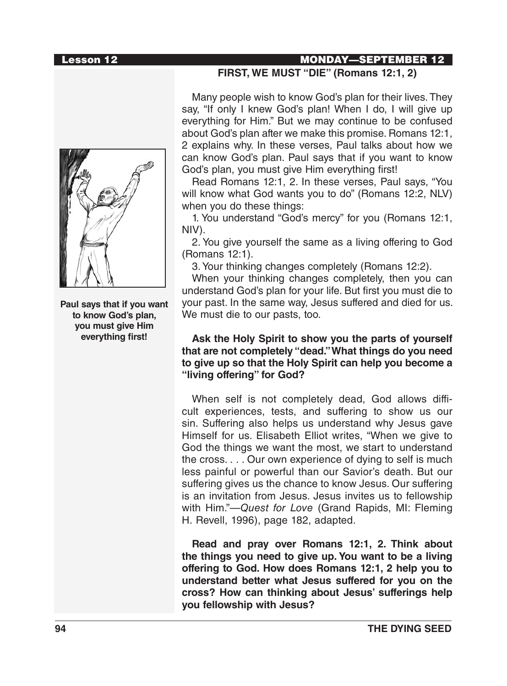

**Paul says that if you want to know God's plan, you must give Him everything first!**

### Lesson 12 MONDAY—SEPTEMBER 12

#### **FIRST, WE MUST "DIE" (Romans 12:1, 2)**

Many people wish to know God's plan for their lives. They say, "If only I knew God's plan! When I do, I will give up everything for Him." But we may continue to be confused about God's plan after we make this promise. Romans 12:1, 2 explains why. In these verses, Paul talks about how we can know God's plan. Paul says that if you want to know God's plan, you must give Him everything first!

Read Romans 12:1, 2. In these verses, Paul says, "You will know what God wants you to do" (Romans 12:2, NLV) when you do these things:

1. You understand "God's mercy" for you (Romans 12:1, NIV).

2. You give yourself the same as a living offering to God (Romans 12:1).

3. Your thinking changes completely (Romans 12:2).

When your thinking changes completely, then you can understand God's plan for your life. But first you must die to your past. In the same way, Jesus suffered and died for us. We must die to our pasts, too.

#### **Ask the Holy Spirit to show you the parts of yourself that are not completely "dead." What things do you need to give up so that the Holy Spirit can help you become a "living offering" for God?**

When self is not completely dead, God allows difficult experiences, tests, and suffering to show us our sin. Suffering also helps us understand why Jesus gave Himself for us. Elisabeth Elliot writes, "When we give to God the things we want the most, we start to understand the cross. . . . Our own experience of dying to self is much less painful or powerful than our Savior's death. But our suffering gives us the chance to know Jesus. Our suffering is an invitation from Jesus. Jesus invites us to fellowship with Him."—*Quest for Love* (Grand Rapids, MI: Fleming H. Revell, 1996), page 182, adapted.

**Read and pray over Romans 12:1, 2. Think about the things you need to give up. You want to be a living offering to God. How does Romans 12:1, 2 help you to understand better what Jesus suffered for you on the cross? How can thinking about Jesus' sufferings help you fellowship with Jesus?**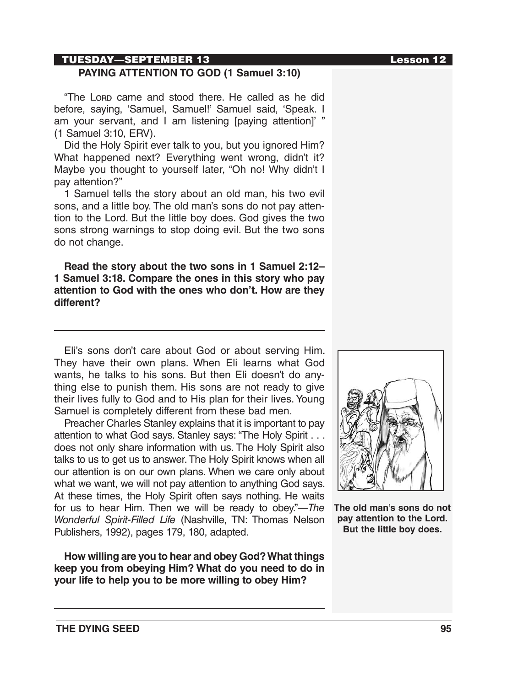### TUESDAY—SEPTEMBER 13 Lesson 12

### **PAYING ATTENTION TO GOD (1 Samuel 3:10)**

"The Lorp came and stood there. He called as he did before, saying, 'Samuel, Samuel!' Samuel said, 'Speak. I am your servant, and I am listening [paying attention]' " (1 Samuel 3:10, ERV).

Did the Holy Spirit ever talk to you, but you ignored Him? What happened next? Everything went wrong, didn't it? Maybe you thought to yourself later, "Oh no! Why didn't I pay attention?"

1 Samuel tells the story about an old man, his two evil sons, and a little boy. The old man's sons do not pay attention to the Lord. But the little boy does. God gives the two sons strong warnings to stop doing evil. But the two sons do not change.

**Read the story about the two sons in 1 Samuel 2:12– 1 Samuel 3:18. Compare the ones in this story who pay attention to God with the ones who don't. How are they different?**

Eli's sons don't care about God or about serving Him. They have their own plans. When Eli learns what God wants, he talks to his sons. But then Eli doesn't do anything else to punish them. His sons are not ready to give their lives fully to God and to His plan for their lives. Young Samuel is completely different from these bad men.

Preacher Charles Stanley explains that it is important to pay attention to what God says. Stanley says: "The Holy Spirit . . . does not only share information with us. The Holy Spirit also talks to us to get us to answer. The Holy Spirit knows when all our attention is on our own plans. When we care only about what we want, we will not pay attention to anything God says. At these times, the Holy Spirit often says nothing. He waits for us to hear Him. Then we will be ready to obey."—*The Wonderful Spirit-Filled Life* (Nashville, TN: Thomas Nelson Publishers, 1992), pages 179, 180, adapted.

**How willing are you to hear and obey God? What things keep you from obeying Him? What do you need to do in your life to help you to be more willing to obey Him?**



**The old man's sons do not pay attention to the Lord. But the little boy does.**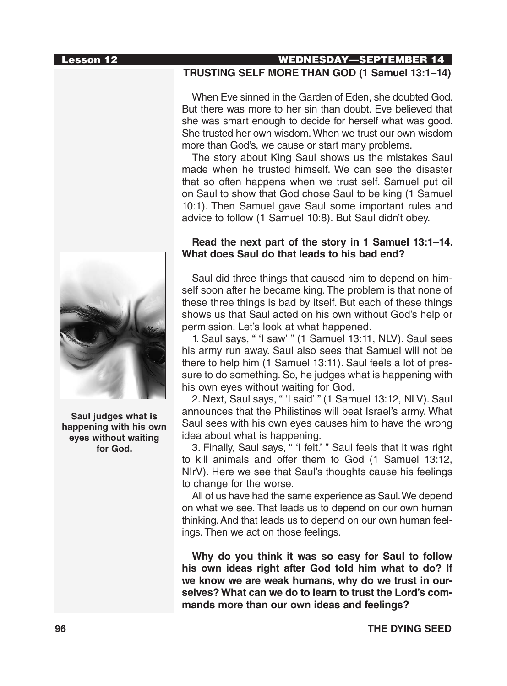

**Saul judges what is happening with his own eyes without waiting for God.**

#### Lesson 12 WEDNESDAY—SEPTEMBER 14 **TRUSTING SELF MORE THAN GOD (1 Samuel 13:1–14)**

When Eve sinned in the Garden of Eden, she doubted God. But there was more to her sin than doubt. Eve believed that she was smart enough to decide for herself what was good. She trusted her own wisdom. When we trust our own wisdom more than God's, we cause or start many problems.

The story about King Saul shows us the mistakes Saul made when he trusted himself. We can see the disaster that so often happens when we trust self. Samuel put oil on Saul to show that God chose Saul to be king (1 Samuel 10:1). Then Samuel gave Saul some important rules and advice to follow (1 Samuel 10:8). But Saul didn't obey.

### **Read the next part of the story in 1 Samuel 13:1–14. What does Saul do that leads to his bad end?**

Saul did three things that caused him to depend on himself soon after he became king. The problem is that none of these three things is bad by itself. But each of these things shows us that Saul acted on his own without God's help or permission. Let's look at what happened.

1. Saul says, " 'I saw' " (1 Samuel 13:11, NLV). Saul sees his army run away. Saul also sees that Samuel will not be there to help him (1 Samuel 13:11). Saul feels a lot of pressure to do something. So, he judges what is happening with his own eyes without waiting for God.

2. Next, Saul says, " 'I said' " (1 Samuel 13:12, NLV). Saul announces that the Philistines will beat Israel's army. What Saul sees with his own eyes causes him to have the wrong idea about what is happening.

3. Finally, Saul says, " 'I felt.' " Saul feels that it was right to kill animals and offer them to God (1 Samuel 13:12, NIrV). Here we see that Saul's thoughts cause his feelings to change for the worse.

All of us have had the same experience as Saul. We depend on what we see. That leads us to depend on our own human thinking. And that leads us to depend on our own human feelings. Then we act on those feelings.

**Why do you think it was so easy for Saul to follow his own ideas right after God told him what to do? If we know we are weak humans, why do we trust in ourselves? What can we do to learn to trust the Lord's commands more than our own ideas and feelings?**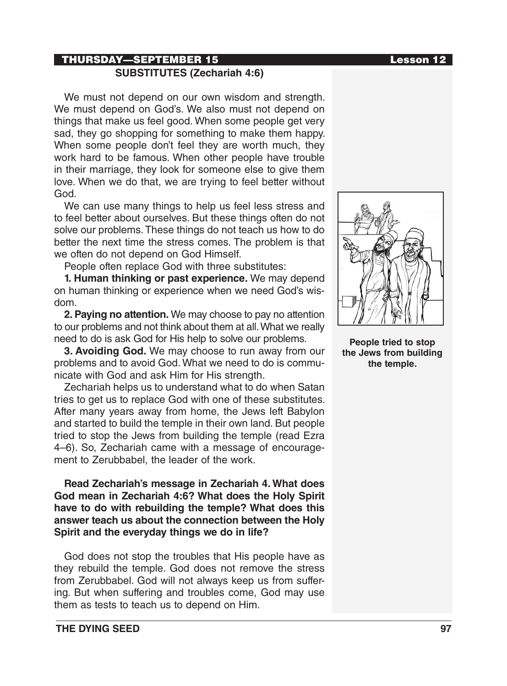# THURSDAY—SEPTEMBER 15 Lesson 12 **SUBSTITUTES (Zechariah 4:6)**

We must not depend on our own wisdom and strength. We must depend on God's. We also must not depend on things that make us feel good. When some people get very sad, they go shopping for something to make them happy. When some people don't feel they are worth much, they work hard to be famous. When other people have trouble in their marriage, they look for someone else to give them love. When we do that, we are trying to feel better without God.

We can use many things to help us feel less stress and to feel better about ourselves. But these things often do not solve our problems. These things do not teach us how to do better the next time the stress comes. The problem is that we often do not depend on God Himself.

People often replace God with three substitutes:

**1. Human thinking or past experience.** We may depend on human thinking or experience when we need God's wisdom.

**2. Paying no attention.** We may choose to pay no attention to our problems and not think about them at all. What we really need to do is ask God for His help to solve our problems.

**3. Avoiding God.** We may choose to run away from our problems and to avoid God. What we need to do is communicate with God and ask Him for His strength.

Zechariah helps us to understand what to do when Satan tries to get us to replace God with one of these substitutes. After many years away from home, the Jews left Babylon and started to build the temple in their own land. But people tried to stop the Jews from building the temple (read Ezra 4–6). So, Zechariah came with a message of encouragement to Zerubbabel, the leader of the work.

**Read Zechariah's message in Zechariah 4. What does God mean in Zechariah 4:6? What does the Holy Spirit have to do with rebuilding the temple? What does this answer teach us about the connection between the Holy Spirit and the everyday things we do in life?**

God does not stop the troubles that His people have as they rebuild the temple. God does not remove the stress from Zerubbabel. God will not always keep us from suffering. But when suffering and troubles come, God may use them as tests to teach us to depend on Him.



**People tried to stop the Jews from building the temple.**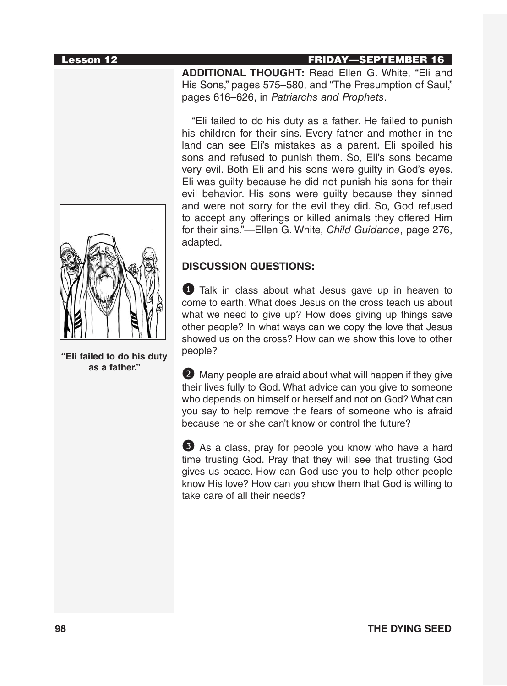

**ADDITIONAL THOUGHT:** Read Ellen G. White, "Eli and His Sons," pages 575–580, and "The Presumption of Saul," pages 616–626, in *Patriarchs and Prophets*.

"Eli failed to do his duty as a father. He failed to punish his children for their sins. Every father and mother in the land can see Eli's mistakes as a parent. Eli spoiled his sons and refused to punish them. So, Eli's sons became very evil. Both Eli and his sons were guilty in God's eyes. Eli was guilty because he did not punish his sons for their evil behavior. His sons were guilty because they sinned and were not sorry for the evil they did. So, God refused to accept any offerings or killed animals they offered Him for their sins."—Ellen G. White, *Child Guidance*, page 276, adapted.

#### **DISCUSSION QUESTIONS:**

1 Talk in class about what Jesus gave up in heaven to come to earth. What does Jesus on the cross teach us about what we need to give up? How does giving up things save other people? In what ways can we copy the love that Jesus showed us on the cross? How can we show this love to other people?

2 Many people are afraid about what will happen if they give their lives fully to God. What advice can you give to someone who depends on himself or herself and not on God? What can you say to help remove the fears of someone who is afraid because he or she can't know or control the future?

3 As a class, pray for people you know who have a hard time trusting God. Pray that they will see that trusting God gives us peace. How can God use you to help other people know His love? How can you show them that God is willing to take care of all their needs?



**"Eli failed to do his duty as a father."**